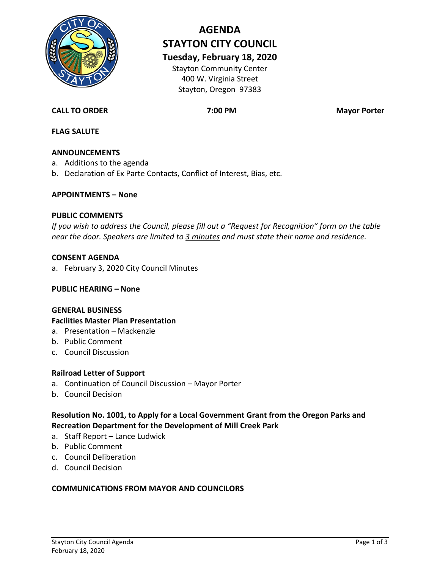

# **AGENDA STAYTON CITY COUNCIL**

**Tuesday, February 18, 2020**

Stayton Community Center 400 W. Virginia Street Stayton, Oregon 97383

# **CALL TO ORDER 7:00 PM Mayor Porter**

# **FLAG SALUTE**

#### **ANNOUNCEMENTS**

- a. Additions to the agenda
- b. Declaration of Ex Parte Contacts, Conflict of Interest, Bias, etc.

#### **APPOINTMENTS – None**

#### **PUBLIC COMMENTS**

*If you wish to address the Council, please fill out a "Request for Recognition" form on the table near the door. Speakers are limited to 3 minutes and must state their name and residence.*

#### **CONSENT AGENDA**

a. February 3, 2020 City Council Minutes

#### **PUBLIC HEARING – None**

#### **GENERAL BUSINESS**

#### **Facilities Master Plan Presentation**

- a. Presentation Mackenzie
- b. Public Comment
- c. Council Discussion

#### **Railroad Letter of Support**

- a. Continuation of Council Discussion Mayor Porter
- b. Council Decision

**Resolution No. 1001, to Apply for a Local Government Grant from the Oregon Parks and Recreation Department for the Development of Mill Creek Park**

- a. Staff Report Lance Ludwick
- b. Public Comment
- c. Council Deliberation
- d. Council Decision

#### **COMMUNICATIONS FROM MAYOR AND COUNCILORS**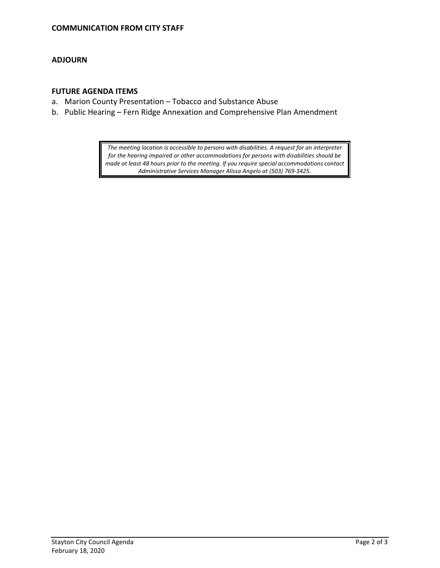#### **ADJOURN**

#### **FUTURE AGENDA ITEMS**

- a. Marion County Presentation Tobacco and Substance Abuse
- b. Public Hearing Fern Ridge Annexation and Comprehensive Plan Amendment

*The meeting location is accessible to persons with disabilities. A request for an interpreter for the hearing impaired or other accommodations for persons with disabilities should be made at least 48 hours prior to the meeting. If you require special accommodations contact Administrative Services Manager Alissa Angelo at (503) 769-3425.*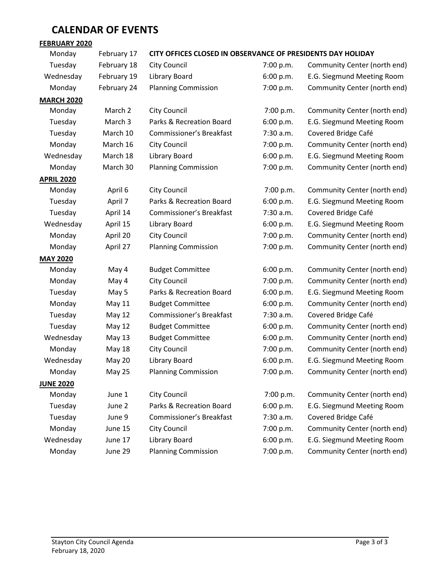# **CALENDAR OF EVENTS**

#### **FEBRUARY 2020**

#### Monday February 17 **CITY OFFICES CLOSED IN OBSERVANCE OF PRESIDENTS DAY HOLIDAY**

| Tuesday           | February 18 | City Council                    | 7:00 p.m. | Community Center (north end) |
|-------------------|-------------|---------------------------------|-----------|------------------------------|
| Wednesday         | February 19 | Library Board                   | 6:00 p.m. | E.G. Siegmund Meeting Room   |
| Monday            | February 24 | <b>Planning Commission</b>      | 7:00 p.m. | Community Center (north end) |
| <b>MARCH 2020</b> |             |                                 |           |                              |
| Monday            | March 2     | <b>City Council</b>             | 7:00 p.m. | Community Center (north end) |
| Tuesday           | March 3     | Parks & Recreation Board        | 6:00 p.m. | E.G. Siegmund Meeting Room   |
| Tuesday           | March 10    | Commissioner's Breakfast        | 7:30 a.m. | Covered Bridge Café          |
| Monday            | March 16    | City Council                    | 7:00 p.m. | Community Center (north end) |
| Wednesday         | March 18    | Library Board                   | 6:00 p.m. | E.G. Siegmund Meeting Room   |
| Monday            | March 30    | <b>Planning Commission</b>      | 7:00 p.m. | Community Center (north end) |
| <b>APRIL 2020</b> |             |                                 |           |                              |
| Monday            | April 6     | <b>City Council</b>             | 7:00 p.m. | Community Center (north end) |
| Tuesday           | April 7     | Parks & Recreation Board        | 6:00 p.m. | E.G. Siegmund Meeting Room   |
| Tuesday           | April 14    | Commissioner's Breakfast        | 7:30 a.m. | Covered Bridge Café          |
| Wednesday         | April 15    | Library Board                   | 6:00 p.m. | E.G. Siegmund Meeting Room   |
| Monday            | April 20    | <b>City Council</b>             | 7:00 p.m. | Community Center (north end) |
| Monday            | April 27    | <b>Planning Commission</b>      | 7:00 p.m. | Community Center (north end) |
| <b>MAY 2020</b>   |             |                                 |           |                              |
| Monday            | May 4       | <b>Budget Committee</b>         | 6:00 p.m. | Community Center (north end) |
| Monday            | May 4       | City Council                    | 7:00 p.m. | Community Center (north end) |
| Tuesday           | May 5       | Parks & Recreation Board        | 6:00 p.m. | E.G. Siegmund Meeting Room   |
| Monday            | May 11      | <b>Budget Committee</b>         | 6:00 p.m. | Community Center (north end) |
| Tuesday           | May 12      | Commissioner's Breakfast        | 7:30 a.m. | Covered Bridge Café          |
| Tuesday           | May 12      | <b>Budget Committee</b>         | 6:00 p.m. | Community Center (north end) |
| Wednesday         | May 13      | <b>Budget Committee</b>         | 6:00 p.m. | Community Center (north end) |
| Monday            | May 18      | City Council                    | 7:00 p.m. | Community Center (north end) |
| Wednesday         | May 20      | Library Board                   | 6:00 p.m. | E.G. Siegmund Meeting Room   |
| Monday            | May 25      | <b>Planning Commission</b>      | 7:00 p.m. | Community Center (north end) |
| <b>JUNE 2020</b>  |             |                                 |           |                              |
| Monday            | June 1      | <b>City Council</b>             | 7:00 p.m. | Community Center (north end) |
| Tuesday           | June 2      | Parks & Recreation Board        | 6:00 p.m. | E.G. Siegmund Meeting Room   |
| Tuesday           | June 9      | <b>Commissioner's Breakfast</b> | 7:30 a.m. | Covered Bridge Café          |
| Monday            | June 15     | <b>City Council</b>             | 7:00 p.m. | Community Center (north end) |
| Wednesday         | June 17     | Library Board                   | 6:00 p.m. | E.G. Siegmund Meeting Room   |
| Monday            | June 29     | <b>Planning Commission</b>      | 7:00 p.m. | Community Center (north end) |
|                   |             |                                 |           |                              |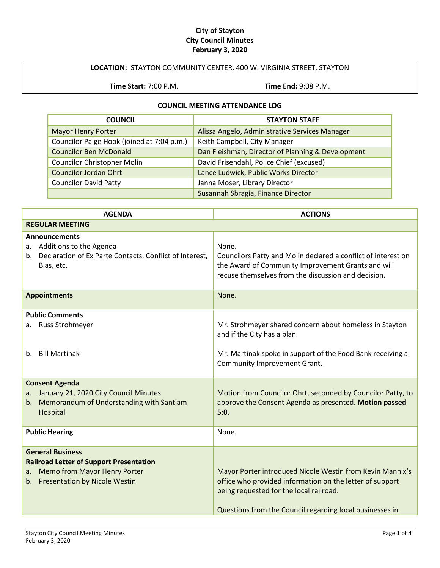#### **City of Stayton City Council Minutes February 3, 2020**

#### **LOCATION:** STAYTON COMMUNITY CENTER, 400 W. VIRGINIA STREET, STAYTON

**Time Start:** 7:00 P.M. **Time End:** 9:08 P.M.

#### **COUNCIL MEETING ATTENDANCE LOG**

| <b>COUNCIL</b>                             | <b>STAYTON STAFF</b>                              |
|--------------------------------------------|---------------------------------------------------|
| <b>Mayor Henry Porter</b>                  | Alissa Angelo, Administrative Services Manager    |
| Councilor Paige Hook (joined at 7:04 p.m.) | Keith Campbell, City Manager                      |
| <b>Councilor Ben McDonald</b>              | Dan Fleishman, Director of Planning & Development |
| <b>Councilor Christopher Molin</b>         | David Frisendahl, Police Chief (excused)          |
| <b>Councilor Jordan Ohrt</b>               | Lance Ludwick, Public Works Director              |
| <b>Councilor David Patty</b>               | Janna Moser, Library Director                     |
|                                            | Susannah Sbragia, Finance Director                |

| <b>AGENDA</b>                                                                                                                                              | <b>ACTIONS</b>                                                                                                                                                                                                               |
|------------------------------------------------------------------------------------------------------------------------------------------------------------|------------------------------------------------------------------------------------------------------------------------------------------------------------------------------------------------------------------------------|
| <b>REGULAR MEETING</b>                                                                                                                                     |                                                                                                                                                                                                                              |
| Announcements<br>a. Additions to the Agenda<br>Declaration of Ex Parte Contacts, Conflict of Interest,<br>b.<br>Bias, etc.                                 | None.<br>Councilors Patty and Molin declared a conflict of interest on<br>the Award of Community Improvement Grants and will<br>recuse themselves from the discussion and decision.                                          |
| <b>Appointments</b>                                                                                                                                        | None.                                                                                                                                                                                                                        |
| <b>Public Comments</b><br>Russ Strohmeyer<br>а.                                                                                                            | Mr. Strohmeyer shared concern about homeless in Stayton<br>and if the City has a plan.                                                                                                                                       |
| <b>Bill Martinak</b><br>$b_{-}$                                                                                                                            | Mr. Martinak spoke in support of the Food Bank receiving a<br>Community Improvement Grant.                                                                                                                                   |
| <b>Consent Agenda</b><br>January 21, 2020 City Council Minutes<br>а.<br>Memorandum of Understanding with Santiam<br>b.<br>Hospital                         | Motion from Councilor Ohrt, seconded by Councilor Patty, to<br>approve the Consent Agenda as presented. Motion passed<br>5:0.                                                                                                |
| <b>Public Hearing</b>                                                                                                                                      | None.                                                                                                                                                                                                                        |
| <b>General Business</b><br><b>Railroad Letter of Support Presentation</b><br><b>Memo from Mayor Henry Porter</b><br>a.<br>b. Presentation by Nicole Westin | Mayor Porter introduced Nicole Westin from Kevin Mannix's<br>office who provided information on the letter of support<br>being requested for the local railroad.<br>Questions from the Council regarding local businesses in |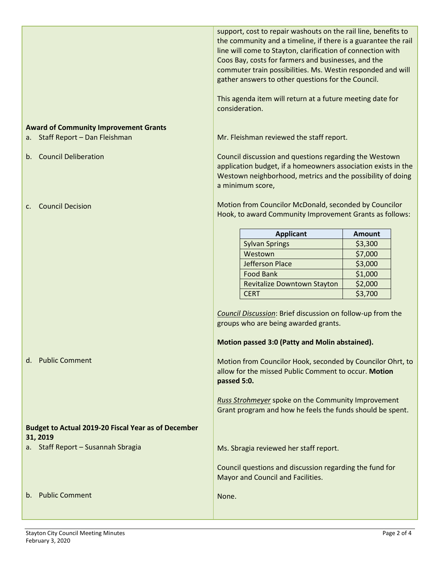|                                                                                 | the community and a timeline, if there is a guarantee the rail<br>line will come to Stayton, clarification of connection with<br>Coos Bay, costs for farmers and businesses, and the<br>commuter train possibilities. Ms. Westin responded and will<br>gather answers to other questions for the Council. |               |
|---------------------------------------------------------------------------------|-----------------------------------------------------------------------------------------------------------------------------------------------------------------------------------------------------------------------------------------------------------------------------------------------------------|---------------|
|                                                                                 | This agenda item will return at a future meeting date for<br>consideration.                                                                                                                                                                                                                               |               |
| <b>Award of Community Improvement Grants</b><br>a. Staff Report - Dan Fleishman | Mr. Fleishman reviewed the staff report.                                                                                                                                                                                                                                                                  |               |
| <b>Council Deliberation</b><br>b.                                               | Council discussion and questions regarding the Westown<br>application budget, if a homeowners association exists in the<br>Westown neighborhood, metrics and the possibility of doing<br>a minimum score,                                                                                                 |               |
| <b>Council Decision</b><br>$\mathsf{C}$ .                                       | Motion from Councilor McDonald, seconded by Councilor<br>Hook, to award Community Improvement Grants as follows:                                                                                                                                                                                          |               |
|                                                                                 | <b>Applicant</b>                                                                                                                                                                                                                                                                                          | <b>Amount</b> |
|                                                                                 | <b>Sylvan Springs</b>                                                                                                                                                                                                                                                                                     | \$3,300       |
|                                                                                 | Westown                                                                                                                                                                                                                                                                                                   | \$7,000       |
|                                                                                 | <b>Jefferson Place</b>                                                                                                                                                                                                                                                                                    | \$3,000       |
|                                                                                 | <b>Food Bank</b>                                                                                                                                                                                                                                                                                          | \$1,000       |
|                                                                                 | Revitalize Downtown Stayton                                                                                                                                                                                                                                                                               | \$2,000       |
|                                                                                 | <b>CERT</b>                                                                                                                                                                                                                                                                                               | \$3,700       |
| d. Public Comment                                                               | Council Discussion: Brief discussion on follow-up from the<br>groups who are being awarded grants.<br>Motion passed 3:0 (Patty and Molin abstained).<br>Motion from Councilor Hook, seconded by Councilor Ohrt, to<br>allow for the missed Public Comment to occur. Motion<br>passed 5:0.                 |               |
|                                                                                 | <b>Russ Strohmeyer</b> spoke on the Community Improvement<br>Grant program and how he feels the funds should be spent.                                                                                                                                                                                    |               |
| <b>Budget to Actual 2019-20 Fiscal Year as of December</b><br>31, 2019          |                                                                                                                                                                                                                                                                                                           |               |
| a. Staff Report - Susannah Sbragia                                              | Ms. Sbragia reviewed her staff report.                                                                                                                                                                                                                                                                    |               |
|                                                                                 | Council questions and discussion regarding the fund for<br>Mayor and Council and Facilities.                                                                                                                                                                                                              |               |
| <b>Public Comment</b><br>b.                                                     | None.                                                                                                                                                                                                                                                                                                     |               |

support, cost to repair washouts on the rail line, benefits to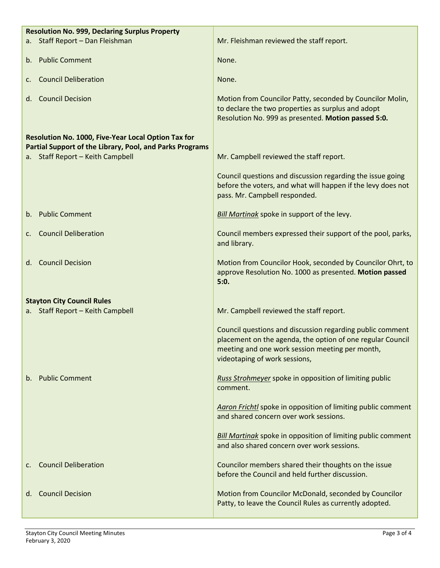| <b>Resolution No. 999, Declaring Surplus Property</b> |                                                          |                                                                                                                                                                                                             |
|-------------------------------------------------------|----------------------------------------------------------|-------------------------------------------------------------------------------------------------------------------------------------------------------------------------------------------------------------|
|                                                       | a. Staff Report - Dan Fleishman                          | Mr. Fleishman reviewed the staff report.                                                                                                                                                                    |
|                                                       | b. Public Comment                                        | None.                                                                                                                                                                                                       |
| c.                                                    | <b>Council Deliberation</b>                              | None.                                                                                                                                                                                                       |
|                                                       |                                                          |                                                                                                                                                                                                             |
|                                                       | d. Council Decision                                      | Motion from Councilor Patty, seconded by Councilor Molin,<br>to declare the two properties as surplus and adopt<br>Resolution No. 999 as presented. Motion passed 5:0.                                      |
|                                                       | Resolution No. 1000, Five-Year Local Option Tax for      |                                                                                                                                                                                                             |
|                                                       | Partial Support of the Library, Pool, and Parks Programs |                                                                                                                                                                                                             |
|                                                       | a. Staff Report - Keith Campbell                         | Mr. Campbell reviewed the staff report.                                                                                                                                                                     |
|                                                       |                                                          | Council questions and discussion regarding the issue going<br>before the voters, and what will happen if the levy does not<br>pass. Mr. Campbell responded.                                                 |
| $b_{-}$                                               | <b>Public Comment</b>                                    | Bill Martinak spoke in support of the levy.                                                                                                                                                                 |
| $\mathsf{C}$ .                                        | <b>Council Deliberation</b>                              | Council members expressed their support of the pool, parks,<br>and library.                                                                                                                                 |
| d. I                                                  | <b>Council Decision</b>                                  | Motion from Councilor Hook, seconded by Councilor Ohrt, to<br>approve Resolution No. 1000 as presented. Motion passed<br>5:0.                                                                               |
|                                                       | <b>Stayton City Council Rules</b>                        |                                                                                                                                                                                                             |
|                                                       | a. Staff Report - Keith Campbell                         | Mr. Campbell reviewed the staff report.                                                                                                                                                                     |
|                                                       |                                                          | Council questions and discussion regarding public comment<br>placement on the agenda, the option of one regular Council<br>meeting and one work session meeting per month,<br>videotaping of work sessions, |
| b.                                                    | <b>Public Comment</b>                                    | Russ Strohmeyer spoke in opposition of limiting public<br>comment.                                                                                                                                          |
|                                                       |                                                          | Aaron Frichtl spoke in opposition of limiting public comment<br>and shared concern over work sessions.                                                                                                      |
|                                                       |                                                          | <b>Bill Martinak</b> spoke in opposition of limiting public comment<br>and also shared concern over work sessions.                                                                                          |
|                                                       | <b>Council Deliberation</b>                              | Councilor members shared their thoughts on the issue<br>before the Council and held further discussion.                                                                                                     |
| d.                                                    | <b>Council Decision</b>                                  | Motion from Councilor McDonald, seconded by Councilor<br>Patty, to leave the Council Rules as currently adopted.                                                                                            |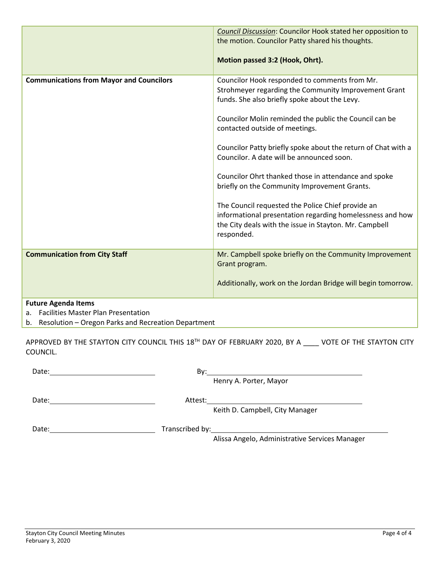|                                                                      | Council Discussion: Councilor Hook stated her opposition to<br>the motion. Councilor Patty shared his thoughts.<br>Motion passed 3:2 (Hook, Ohrt).                                                                                                                                                                                                                                                                                                                                                                                                                                                                                                                 |
|----------------------------------------------------------------------|--------------------------------------------------------------------------------------------------------------------------------------------------------------------------------------------------------------------------------------------------------------------------------------------------------------------------------------------------------------------------------------------------------------------------------------------------------------------------------------------------------------------------------------------------------------------------------------------------------------------------------------------------------------------|
| <b>Communications from Mayor and Councilors</b>                      | Councilor Hook responded to comments from Mr.<br>Strohmeyer regarding the Community Improvement Grant<br>funds. She also briefly spoke about the Levy.<br>Councilor Molin reminded the public the Council can be<br>contacted outside of meetings.<br>Councilor Patty briefly spoke about the return of Chat with a<br>Councilor. A date will be announced soon.<br>Councilor Ohrt thanked those in attendance and spoke<br>briefly on the Community Improvement Grants.<br>The Council requested the Police Chief provide an<br>informational presentation regarding homelessness and how<br>the City deals with the issue in Stayton. Mr. Campbell<br>responded. |
| <b>Communication from City Staff</b>                                 | Mr. Campbell spoke briefly on the Community Improvement<br>Grant program.<br>Additionally, work on the Jordan Bridge will begin tomorrow.                                                                                                                                                                                                                                                                                                                                                                                                                                                                                                                          |
| <b>Future Agenda Items</b><br>a. Facilities Master Plan Presentation |                                                                                                                                                                                                                                                                                                                                                                                                                                                                                                                                                                                                                                                                    |

 $\vert$  b. Resolution – Oregon Parks and Recreation Department

APPROVED BY THE STAYTON CITY COUNCIL THIS 18<sup>TH</sup> DAY OF FEBRUARY 2020, BY A \_\_\_\_ VOTE OF THE STAYTON CITY COUNCIL.

| Date: | Bv:     |                                                |
|-------|---------|------------------------------------------------|
|       |         | Henry A. Porter, Mayor                         |
| Date: | Attest: |                                                |
|       |         | Keith D. Campbell, City Manager                |
| Date: |         | Transcribed by: Transcribed by:                |
|       |         | Alissa Angelo, Administrative Services Manager |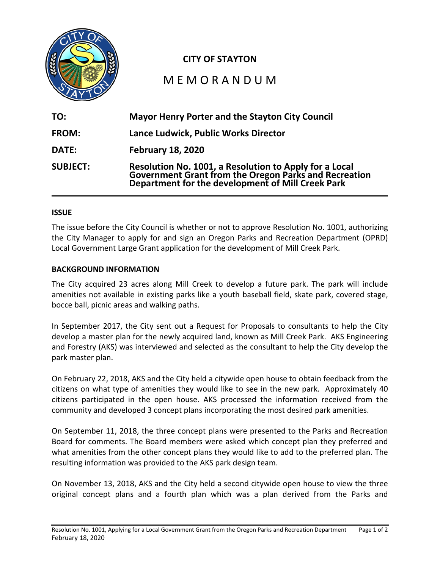

# **CITY OF STAYTON**

# M E M O R A N D U M

| TO:             | <b>Mayor Henry Porter and the Stayton City Council</b>                                                                                                               |
|-----------------|----------------------------------------------------------------------------------------------------------------------------------------------------------------------|
| FROM:           | Lance Ludwick, Public Works Director                                                                                                                                 |
| <b>DATE:</b>    | <b>February 18, 2020</b>                                                                                                                                             |
| <b>SUBJECT:</b> | Resolution No. 1001, a Resolution to Apply for a Local<br>Government Grant from the Oregon Parks and Recreation<br>Department for the development of Mill Creek Park |

#### **ISSUE**

The issue before the City Council is whether or not to approve Resolution No. 1001, authorizing the City Manager to apply for and sign an Oregon Parks and Recreation Department (OPRD) Local Government Large Grant application for the development of Mill Creek Park.

#### **BACKGROUND INFORMATION**

The City acquired 23 acres along Mill Creek to develop a future park. The park will include amenities not available in existing parks like a youth baseball field, skate park, covered stage, bocce ball, picnic areas and walking paths.

In September 2017, the City sent out a Request for Proposals to consultants to help the City develop a master plan for the newly acquired land, known as Mill Creek Park. AKS Engineering and Forestry (AKS) was interviewed and selected as the consultant to help the City develop the park master plan.

On February 22, 2018, AKS and the City held a citywide open house to obtain feedback from the citizens on what type of amenities they would like to see in the new park. Approximately 40 citizens participated in the open house. AKS processed the information received from the community and developed 3 concept plans incorporating the most desired park amenities.

On September 11, 2018, the three concept plans were presented to the Parks and Recreation Board for comments. The Board members were asked which concept plan they preferred and what amenities from the other concept plans they would like to add to the preferred plan. The resulting information was provided to the AKS park design team.

On November 13, 2018, AKS and the City held a second citywide open house to view the three original concept plans and a fourth plan which was a plan derived from the Parks and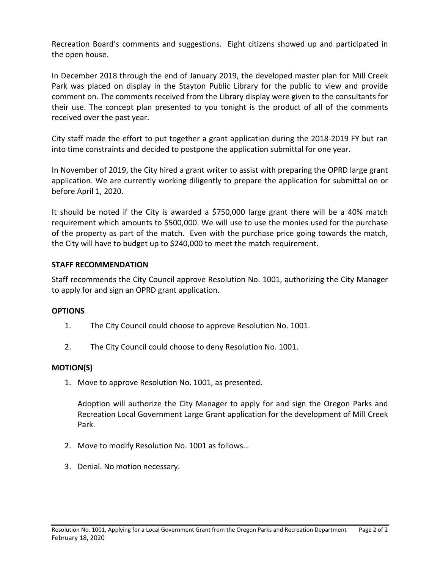Recreation Board's comments and suggestions. Eight citizens showed up and participated in the open house.

In December 2018 through the end of January 2019, the developed master plan for Mill Creek Park was placed on display in the Stayton Public Library for the public to view and provide comment on. The comments received from the Library display were given to the consultants for their use. The concept plan presented to you tonight is the product of all of the comments received over the past year.

City staff made the effort to put together a grant application during the 2018-2019 FY but ran into time constraints and decided to postpone the application submittal for one year.

In November of 2019, the City hired a grant writer to assist with preparing the OPRD large grant application. We are currently working diligently to prepare the application for submittal on or before April 1, 2020.

It should be noted if the City is awarded a \$750,000 large grant there will be a 40% match requirement which amounts to \$500,000. We will use to use the monies used for the purchase of the property as part of the match. Even with the purchase price going towards the match, the City will have to budget up to \$240,000 to meet the match requirement.

## **STAFF RECOMMENDATION**

Staff recommends the City Council approve Resolution No. 1001, authorizing the City Manager to apply for and sign an OPRD grant application.

## **OPTIONS**

- 1. The City Council could choose to approve Resolution No. 1001.
- 2. The City Council could choose to deny Resolution No. 1001.

## **MOTION(S)**

1. Move to approve Resolution No. 1001, as presented.

Adoption will authorize the City Manager to apply for and sign the Oregon Parks and Recreation Local Government Large Grant application for the development of Mill Creek Park.

- 2. Move to modify Resolution No. 1001 as follows…
- 3. Denial. No motion necessary.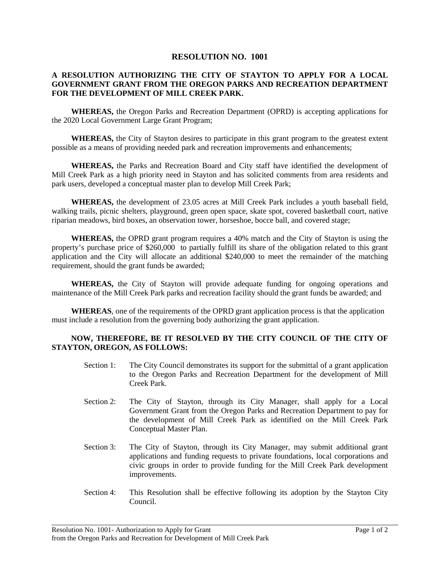#### **RESOLUTION NO. 1001**

#### **A RESOLUTION AUTHORIZING THE CITY OF STAYTON TO APPLY FOR A LOCAL GOVERNMENT GRANT FROM THE OREGON PARKS AND RECREATION DEPARTMENT FOR THE DEVELOPMENT OF MILL CREEK PARK.**

**WHEREAS,** the Oregon Parks and Recreation Department (OPRD) is accepting applications for the 2020 Local Government Large Grant Program;

**WHEREAS,** the City of Stayton desires to participate in this grant program to the greatest extent possible as a means of providing needed park and recreation improvements and enhancements;

**WHEREAS,** the Parks and Recreation Board and City staff have identified the development of Mill Creek Park as a high priority need in Stayton and has solicited comments from area residents and park users, developed a conceptual master plan to develop Mill Creek Park;

**WHEREAS,** the development of 23.05 acres at Mill Creek Park includes a youth baseball field, walking trails, picnic shelters, playground, green open space, skate spot, covered basketball court, native riparian meadows, bird boxes, an observation tower, horseshoe, bocce ball, and covered stage;

**WHEREAS,** the OPRD grant program requires a 40% match and the City of Stayton is using the property's purchase price of \$260,000 to partially fulfill its share of the obligation related to this grant application and the City will allocate an additional \$240,000 to meet the remainder of the matching requirement, should the grant funds be awarded;

**WHEREAS,** the City of Stayton will provide adequate funding for ongoing operations and maintenance of the Mill Creek Park parks and recreation facility should the grant funds be awarded; and

**WHEREAS**, one of the requirements of the OPRD grant application process is that the application must include a resolution from the governing body authorizing the grant application.

#### **NOW, THEREFORE, BE IT RESOLVED BY THE CITY COUNCIL OF THE CITY OF STAYTON, OREGON, AS FOLLOWS:**

- Section 1: The City Council demonstrates its support for the submittal of a grant application to the Oregon Parks and Recreation Department for the development of Mill Creek Park.
- Section 2: The City of Stayton, through its City Manager, shall apply for a Local Government Grant from the Oregon Parks and Recreation Department to pay for the development of Mill Creek Park as identified on the Mill Creek Park Conceptual Master Plan.
- Section 3: The City of Stayton, through its City Manager, may submit additional grant applications and funding requests to private foundations, local corporations and civic groups in order to provide funding for the Mill Creek Park development improvements.
- Section 4: This Resolution shall be effective following its adoption by the Stayton City Council.